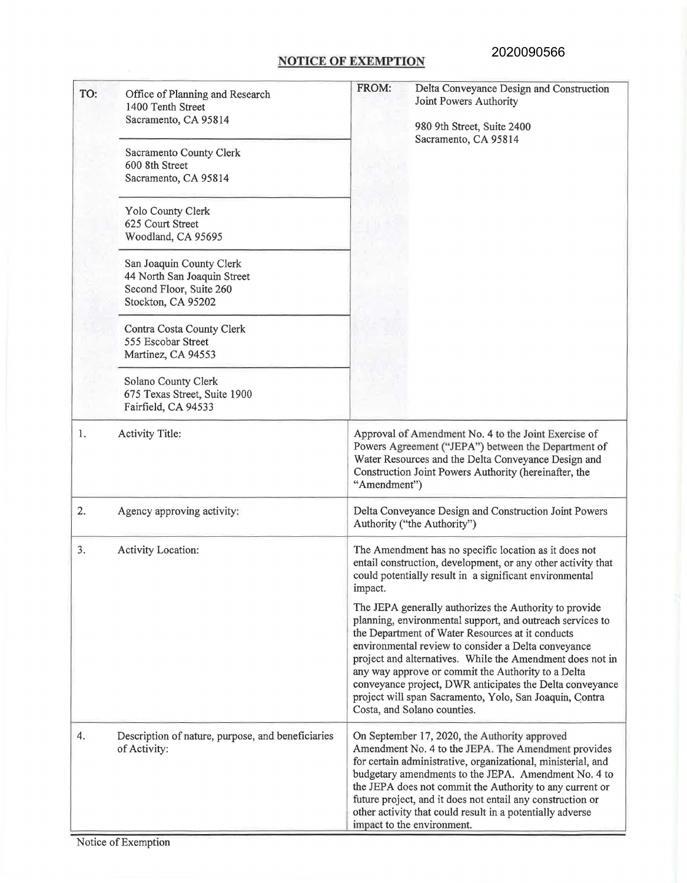## **NOTICE OF EXEMPTION**

| TO: | Office of Planning and Research<br>1400 Tenth Street<br>Sacramento, CA 95814<br>Sacramento County Clerk<br>600 8th Street<br>Sacramento, CA 95814<br>Yolo County Clerk<br>625 Court Street<br>Woodland, CA 95695<br>San Joaquin County Clerk | FROM:                                                                                                                                                                                                                                       | Delta Conveyance Design and Construction<br>Joint Powers Authority<br>980 9th Street, Suite 2400<br>Sacramento, CA 95814                                                                                                                                                                                                                                                                                                                                                                                |
|-----|----------------------------------------------------------------------------------------------------------------------------------------------------------------------------------------------------------------------------------------------|---------------------------------------------------------------------------------------------------------------------------------------------------------------------------------------------------------------------------------------------|---------------------------------------------------------------------------------------------------------------------------------------------------------------------------------------------------------------------------------------------------------------------------------------------------------------------------------------------------------------------------------------------------------------------------------------------------------------------------------------------------------|
|     | 44 North San Joaquin Street<br>Second Floor, Suite 260<br>Stockton, CA 95202                                                                                                                                                                 |                                                                                                                                                                                                                                             |                                                                                                                                                                                                                                                                                                                                                                                                                                                                                                         |
|     | Contra Costa County Clerk<br>555 Escobar Street<br>Martinez, CA 94553                                                                                                                                                                        |                                                                                                                                                                                                                                             |                                                                                                                                                                                                                                                                                                                                                                                                                                                                                                         |
|     | Solano County Clerk<br>675 Texas Street, Suite 1900<br>Fairfield, CA 94533                                                                                                                                                                   |                                                                                                                                                                                                                                             |                                                                                                                                                                                                                                                                                                                                                                                                                                                                                                         |
| 1.  | <b>Activity Title:</b>                                                                                                                                                                                                                       | Approval of Amendment No. 4 to the Joint Exercise of<br>Powers Agreement ("JEPA") between the Department of<br>Water Resources and the Delta Conveyance Design and<br>Construction Joint Powers Authority (hereinafter, the<br>"Amendment") |                                                                                                                                                                                                                                                                                                                                                                                                                                                                                                         |
| 2.  | Agency approving activity:                                                                                                                                                                                                                   | Delta Conveyance Design and Construction Joint Powers<br>Authority ("the Authority")                                                                                                                                                        |                                                                                                                                                                                                                                                                                                                                                                                                                                                                                                         |
| 3.  | <b>Activity Location:</b>                                                                                                                                                                                                                    | impact.                                                                                                                                                                                                                                     | The Amendment has no specific location as it does not<br>entail construction, development, or any other activity that<br>could potentially result in a significant environmental                                                                                                                                                                                                                                                                                                                        |
|     |                                                                                                                                                                                                                                              |                                                                                                                                                                                                                                             | The JEPA generally authorizes the Authority to provide<br>planning, environmental support, and outreach services to<br>the Department of Water Resources at it conducts<br>environmental review to consider a Delta conveyance<br>project and alternatives. While the Amendment does not in<br>any way approve or commit the Authority to a Delta<br>conveyance project, DWR anticipates the Delta conveyance<br>project will span Sacramento, Yolo, San Joaquin, Contra<br>Costa, and Solano counties. |
| 4.  | Description of nature, purpose, and beneficiaries<br>of Activity:                                                                                                                                                                            |                                                                                                                                                                                                                                             | On September 17, 2020, the Authority approved<br>Amendment No. 4 to the JEPA. The Amendment provides<br>for certain administrative, organizational, ministerial, and<br>budgetary amendments to the JEPA. Amendment No. 4 to<br>the JEPA does not commit the Authority to any current or<br>future project, and it does not entail any construction or<br>other activity that could result in a potentially adverse<br>impact to the environment.                                                       |